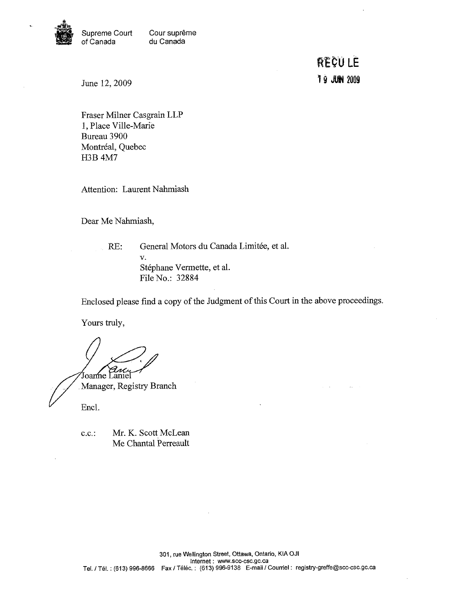

Supreme Court Cour suprême<br>of Canada du Canada du Canada

> **RECULE T 9 JUIN 2009**

June 12,2009

Fraser Milner Casgrain LLP 1, Place Ville-Marie Bureau 3900 Montréal, Quebec H3B 4M7

Attention: Laurent Nahmiash

Dear Me Nahmiash,

RE: General Motors du Canada Limitée, et al. v. Stéphane Vermette, et al. File No.: 32884

Enclosed please find a copy of the Judgment of this Court in the above proceedings.

Yours truly,

Joanne Laniel Manager, Registry Branch

Encl.

c.c.: Mr. K. Scott McLean Me Chantal Perreault